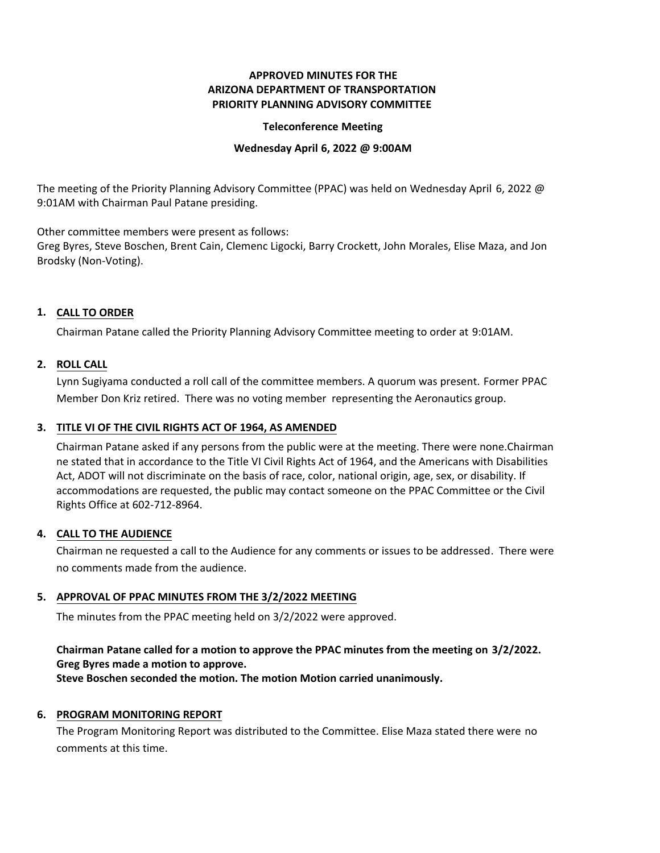# **APPROVED MINUTES FOR THE ARIZONA DEPARTMENT OF TRANSPORTATION PRIORITY PLANNING ADVISORY COMMITTEE**

#### **Teleconference Meeting**

#### **Wednesday April 6, 2022 @ 9:00AM**

The meeting of the Priority Planning Advisory Committee (PPAC) was held on Wednesday April 6, 2022 @ 9:01AM with Chairman Paul Patane presiding.

Other committee members were present as follows:

Greg Byres, Steve Boschen, Brent Cain, Clemenc Ligocki, Barry Crockett, John Morales, Elise Maza, and Jon Brodsky (Non-Voting).

# **CALL TO ORDER 1.**

Chairman Patane called the Priority Planning Advisory Committee meeting to order at 9:01AM.

## **ROLL CALL 2.**

Lynn Sugiyama conducted a roll call of the committee members. A quorum was present. Former PPAC Member Don Kriz retired. There was no voting member representing the Aeronautics group.

# **TITLE VI OF THE CIVIL RIGHTS ACT OF 1964, AS AMENDED 3.**

Chairman Patane asked if any persons from the public were at the meeting. There were none.Chairman ne stated that in accordance to the Title VI Civil Rights Act of 1964, and the Americans with Disabilities Act, ADOT will not discriminate on the basis of race, color, national origin, age, sex, or disability. If accommodations are requested, the public may contact someone on the PPAC Committee or the Civil Rights Office at 602-712-8964.

#### **CALL TO THE AUDIENCE 4.**

Chairman ne requested a call to the Audience for any comments or issues to be addressed. There were no comments made from the audience.

## **APPROVAL OF PPAC MINUTES FROM THE 3/2/2022 MEETING 5.**

The minutes from the PPAC meeting held on 3/2/2022 were approved.

# **Chairman Patane called for a motion to approve the PPAC minutes from the meeting on 3/2/2022. Greg Byres made a motion to approve.**

**Steve Boschen seconded the motion. The motion Motion carried unanimously.**

## **6. PROGRAM MONITORING REPORT**

The Program Monitoring Report was distributed to the Committee. Elise Maza stated there were no comments at this time.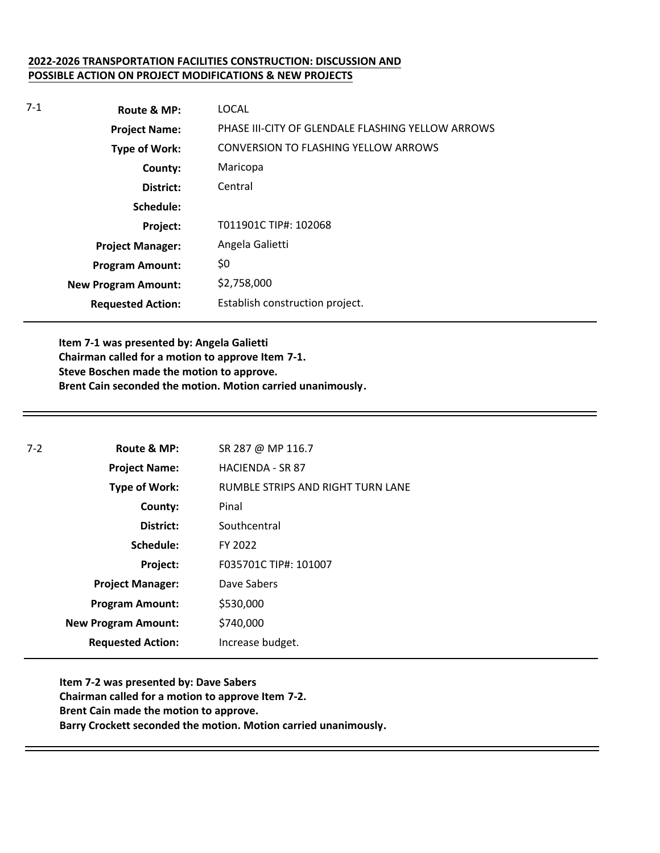## **2022-2026 TRANSPORTATION FACILITIES CONSTRUCTION: DISCUSSION AND POSSIBLE ACTION ON PROJECT MODIFICATIONS & NEW PROJECTS**

| $7-1$ | Route & MP:                | LOCAL                                             |
|-------|----------------------------|---------------------------------------------------|
|       | <b>Project Name:</b>       | PHASE III-CITY OF GLENDALE FLASHING YELLOW ARROWS |
|       | <b>Type of Work:</b>       | CONVERSION TO FLASHING YELLOW ARROWS              |
|       | County:                    | Maricopa                                          |
|       | District:                  | Central                                           |
|       | Schedule:                  |                                                   |
|       | Project:                   | T011901C TIP#: 102068                             |
|       | <b>Project Manager:</b>    | Angela Galietti                                   |
|       | <b>Program Amount:</b>     | \$0                                               |
|       | <b>New Program Amount:</b> | \$2,758,000                                       |
|       | <b>Requested Action:</b>   | Establish construction project.                   |

**Item 7-1 was presented by: Angela Galietti Chairman called for a motion to approve Item 7-1. Steve Boschen made the motion to approve. Brent Cain seconded the motion. Motion carried unanimously.**

| $7-2$ | Route & MP:                | SR 287 @ MP 116.7                 |
|-------|----------------------------|-----------------------------------|
|       | <b>Project Name:</b>       | <b>HACIENDA - SR 87</b>           |
|       | <b>Type of Work:</b>       | RUMBLE STRIPS AND RIGHT TURN LANE |
|       | County:                    | Pinal                             |
|       | District:                  | Southcentral                      |
|       | Schedule:                  | FY 2022                           |
|       | Project:                   | F035701C TIP#: 101007             |
|       | <b>Project Manager:</b>    | Dave Sabers                       |
|       | <b>Program Amount:</b>     | \$530,000                         |
|       | <b>New Program Amount:</b> | \$740,000                         |
|       | <b>Requested Action:</b>   | Increase budget.                  |

**Item 7-2 was presented by: Dave Sabers Chairman called for a motion to approve Item 7-2. Brent Cain made the motion to approve. Barry Crockett seconded the motion. Motion carried unanimously.**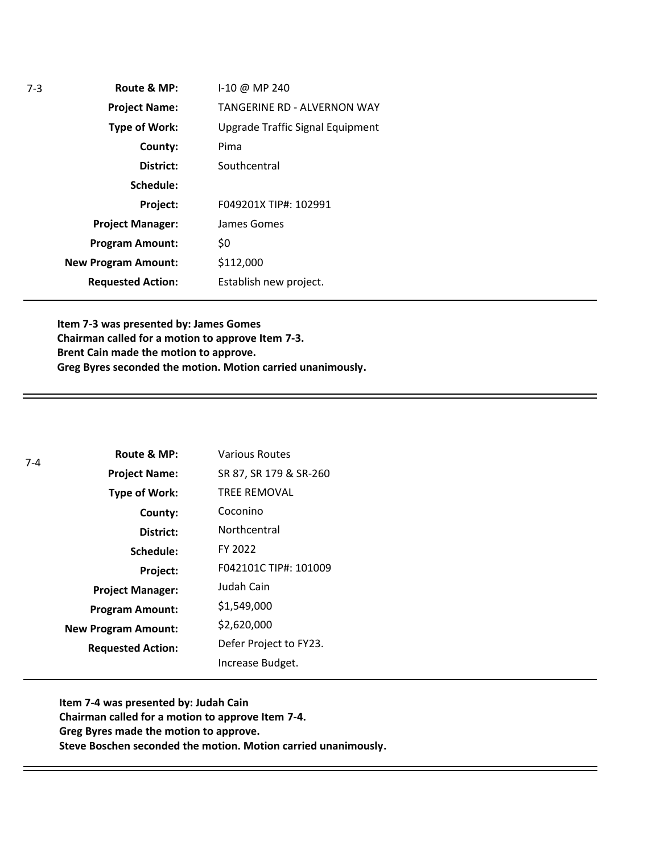**Route & MP: County: District: Schedule: Project Name: Type of Work: Project Manager: Project: Requested Action: New Program Amount: Program Amount:** I-10 @ MP 240 TANGERINE RD - ALVERNON WAY Upgrade Traffic Signal Equipment Pima **Southcentral** F049201X TIP#: 102991 James Gomes \$0 \$112,000 Establish new project.

**Item 7-3 was presented by: James Gomes Chairman called for a motion to approve Item 7-3. Brent Cain made the motion to approve. Greg Byres seconded the motion. Motion carried unanimously.**

| 7-4 | Route & MP:                | <b>Various Routes</b>  |
|-----|----------------------------|------------------------|
|     | <b>Project Name:</b>       | SR 87, SR 179 & SR-260 |
|     | <b>Type of Work:</b>       | <b>TREE REMOVAL</b>    |
|     | County:                    | Coconino               |
|     | District:                  | Northcentral           |
|     | Schedule:                  | FY 2022                |
|     | Project:                   | F042101C TIP#: 101009  |
|     | <b>Project Manager:</b>    | Judah Cain             |
|     | <b>Program Amount:</b>     | \$1,549,000            |
|     | <b>New Program Amount:</b> | \$2,620,000            |
|     | <b>Requested Action:</b>   | Defer Project to FY23. |
|     |                            | Increase Budget.       |

**Item 7-4 was presented by: Judah Cain Chairman called for a motion to approve Item 7-4. Greg Byres made the motion to approve. Steve Boschen seconded the motion. Motion carried unanimously.**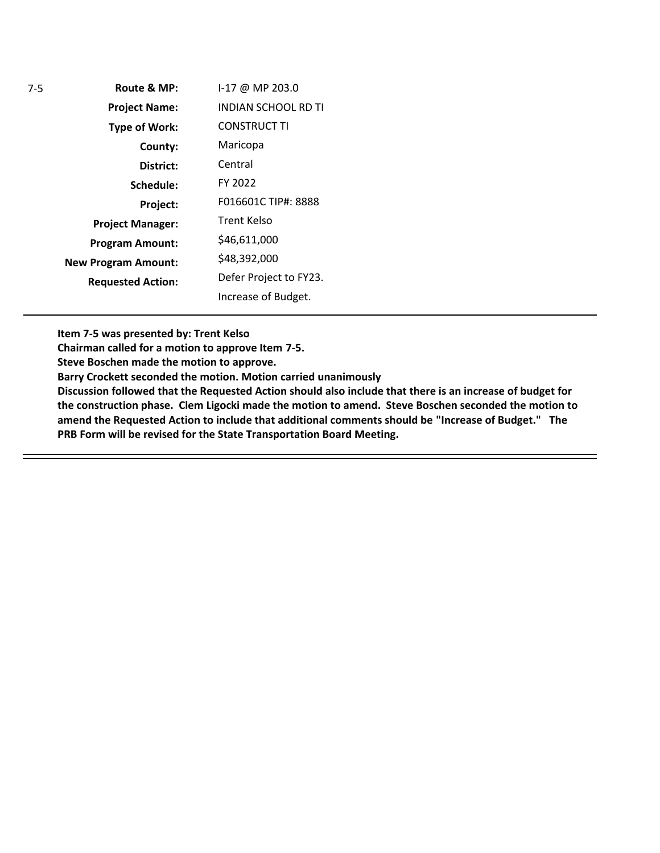| Route & MP:                | I-17 @ MP 203.0            |
|----------------------------|----------------------------|
| <b>Project Name:</b>       | <b>INDIAN SCHOOL RD TI</b> |
| <b>Type of Work:</b>       | <b>CONSTRUCT TI</b>        |
| County:                    | Maricopa                   |
| District:                  | Central                    |
| Schedule:                  | FY 2022                    |
| Project:                   | F016601C TIP#: 8888        |
| <b>Project Manager:</b>    | Trent Kelso                |
| <b>Program Amount:</b>     | \$46,611,000               |
| <b>New Program Amount:</b> | \$48,392,000               |
| <b>Requested Action:</b>   | Defer Project to FY23.     |
|                            | Increase of Budget.        |

**Item 7-5 was presented by: Trent Kelso**

**Chairman called for a motion to approve Item 7-5.**

**Steve Boschen made the motion to approve.**

**Barry Crockett seconded the motion. Motion carried unanimously**

**Discussion followed that the Requested Action should also include that there is an increase of budget for the construction phase. Clem Ligocki made the motion to amend. Steve Boschen seconded the motion to amend the Requested Action to include that additional comments should be "Increase of Budget." The PRB Form will be revised for the State Transportation Board Meeting.**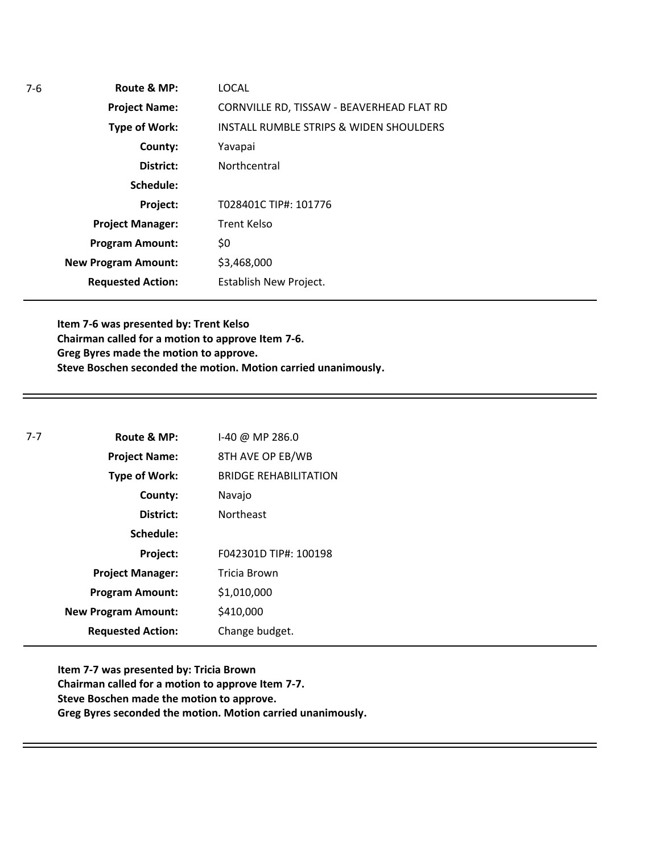| LOCAL<br>Route & MP:                                              |
|-------------------------------------------------------------------|
| CORNVILLE RD, TISSAW - BEAVERHEAD FLAT RD<br><b>Project Name:</b> |
| INSTALL RUMBLE STRIPS & WIDEN SHOULDERS<br><b>Type of Work:</b>   |
| County:<br>Yavapai                                                |
| District:<br>Northcentral                                         |
| Schedule:                                                         |
| T028401C TIP#: 101776<br>Project:                                 |
| <b>Trent Kelso</b><br><b>Project Manager:</b>                     |
| \$0<br><b>Program Amount:</b>                                     |
| \$3,468,000<br><b>New Program Amount:</b>                         |
| <b>Requested Action:</b><br>Establish New Project.                |
|                                                                   |

**Item 7-6 was presented by: Trent Kelso Chairman called for a motion to approve Item 7-6. Greg Byres made the motion to approve. Steve Boschen seconded the motion. Motion carried unanimously.**

| $7-7$ | Route & MP:                | 1-40 @ MP 286.0              |
|-------|----------------------------|------------------------------|
|       | <b>Project Name:</b>       | 8TH AVE OP EB/WB             |
|       | Type of Work:              | <b>BRIDGE REHABILITATION</b> |
|       | County:                    | Navajo                       |
|       | District:                  | <b>Northeast</b>             |
|       | Schedule:                  |                              |
|       | Project:                   | F042301D TIP#: 100198        |
|       | <b>Project Manager:</b>    | Tricia Brown                 |
|       | <b>Program Amount:</b>     | \$1,010,000                  |
|       | <b>New Program Amount:</b> | \$410,000                    |
|       | <b>Requested Action:</b>   | Change budget.               |

**Item 7-7 was presented by: Tricia Brown Chairman called for a motion to approve Item 7-7. Steve Boschen made the motion to approve. Greg Byres seconded the motion. Motion carried unanimously.**

7-6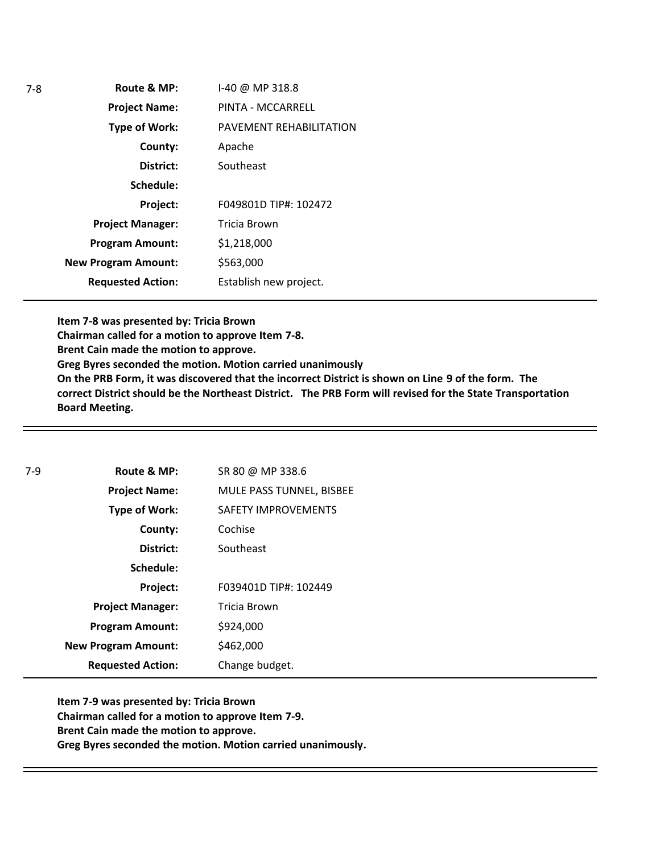**Route & MP: County: District: Schedule: Project Name: Type of Work: Project Manager: Project: Requested Action: New Program Amount: Program Amount:** I-40 @ MP 318.8 PINTA - MCCARRELL PAVEMENT REHABILITATION Apache Southeast F049801D TIP#: 102472 Tricia Brown \$1,218,000 \$563,000 Establish new project.

**Item 7-8 was presented by: Tricia Brown Chairman called for a motion to approve Item 7-8. Brent Cain made the motion to approve. Greg Byres seconded the motion. Motion carried unanimously On the PRB Form, it was discovered that the incorrect District is shown on Line 9 of the form. The correct District should be the Northeast District. The PRB Form will revised for the State Transportation Board Meeting.** 

| Route & MP:                | SR 80 @ MP 338.6           |
|----------------------------|----------------------------|
| <b>Project Name:</b>       | MULE PASS TUNNEL, BISBEE   |
| Type of Work:              | <b>SAFETY IMPROVEMENTS</b> |
| County:                    | Cochise                    |
| District:                  | Southeast                  |
| Schedule:                  |                            |
| Project:                   | F039401D TIP#: 102449      |
| <b>Project Manager:</b>    | <b>Tricia Brown</b>        |
| <b>Program Amount:</b>     | \$924,000                  |
| <b>New Program Amount:</b> | \$462,000                  |
| <b>Requested Action:</b>   | Change budget.             |
|                            |                            |

**Item 7-9 was presented by: Tricia Brown Chairman called for a motion to approve Item 7-9. Brent Cain made the motion to approve. Greg Byres seconded the motion. Motion carried unanimously.**

7-8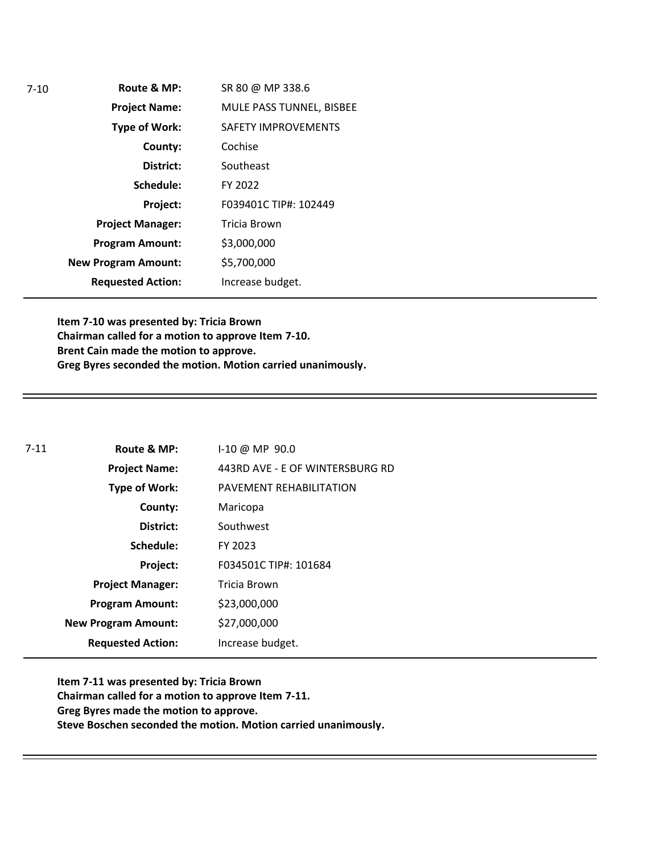| $7-10$ | Route & MP:                | SR 80 @ MP 338.6           |
|--------|----------------------------|----------------------------|
|        | <b>Project Name:</b>       | MULE PASS TUNNEL, BISBEE   |
|        | Type of Work:              | <b>SAFETY IMPROVEMENTS</b> |
|        | County:                    | Cochise                    |
|        | District:                  | Southeast                  |
|        | Schedule:                  | FY 2022                    |
|        | Project:                   | F039401C TIP#: 102449      |
|        | <b>Project Manager:</b>    | Tricia Brown               |
|        | <b>Program Amount:</b>     | \$3,000,000                |
|        | <b>New Program Amount:</b> | \$5,700,000                |
|        | <b>Requested Action:</b>   | Increase budget.           |

**Item 7-10 was presented by: Tricia Brown Chairman called for a motion to approve Item 7-10. Brent Cain made the motion to approve. Greg Byres seconded the motion. Motion carried unanimously.** 

| $7 - 11$ | Route & MP:                | $1-10 \ @ \ MP \ 90.0$          |
|----------|----------------------------|---------------------------------|
|          | <b>Project Name:</b>       | 443RD AVE - E OF WINTERSBURG RD |
|          | Type of Work:              | PAVEMENT REHABILITATION         |
|          | County:                    | Maricopa                        |
|          | District:                  | Southwest                       |
|          | Schedule:                  | FY 2023                         |
|          | Project:                   | F034501C TIP#: 101684           |
|          | <b>Project Manager:</b>    | Tricia Brown                    |
|          | <b>Program Amount:</b>     | \$23,000,000                    |
|          | <b>New Program Amount:</b> | \$27,000,000                    |
|          | <b>Requested Action:</b>   | Increase budget.                |

**Item 7-11 was presented by: Tricia Brown Chairman called for a motion to approve Item 7-11. Greg Byres made the motion to approve. Steve Boschen seconded the motion. Motion carried unanimously.**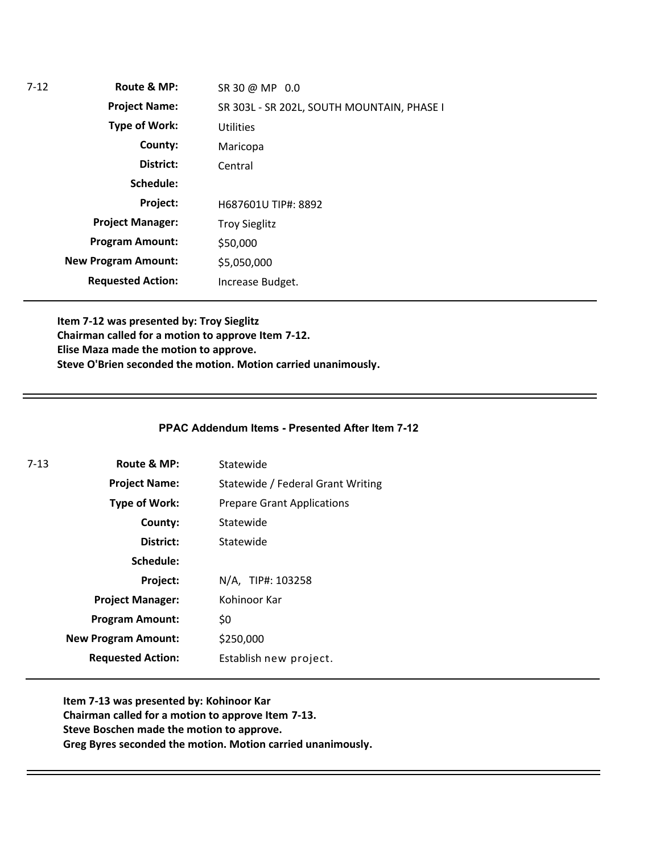| $7-12$ | Route & MP:                | SR 30 @ MP 0.0                             |
|--------|----------------------------|--------------------------------------------|
|        | <b>Project Name:</b>       | SR 303L - SR 202L, SOUTH MOUNTAIN, PHASE I |
|        | <b>Type of Work:</b>       | <b>Utilities</b>                           |
|        | County:                    | Maricopa                                   |
|        | District:                  | Central                                    |
|        | Schedule:                  |                                            |
|        | Project:                   | H687601U TIP#: 8892                        |
|        | <b>Project Manager:</b>    | <b>Troy Sieglitz</b>                       |
|        | <b>Program Amount:</b>     | \$50,000                                   |
|        | <b>New Program Amount:</b> | \$5,050,000                                |
|        | <b>Requested Action:</b>   | Increase Budget.                           |

**Item 7-12 was presented by: Troy Sieglitz Chairman called for a motion to approve Item 7-12. Elise Maza made the motion to approve. Steve O'Brien seconded the motion. Motion carried unanimously.**

#### **PPAC Addendum Items - Presented After Item 7-12**

| 7-13 | Route & MP:                | Statewide                         |
|------|----------------------------|-----------------------------------|
|      | <b>Project Name:</b>       | Statewide / Federal Grant Writing |
|      | <b>Type of Work:</b>       | <b>Prepare Grant Applications</b> |
|      | County:                    | Statewide                         |
|      | District:                  | Statewide                         |
|      | Schedule:                  |                                   |
|      | Project:                   | N/A, TIP#: 103258                 |
|      | <b>Project Manager:</b>    | Kohinoor Kar                      |
|      | <b>Program Amount:</b>     | \$0                               |
|      | <b>New Program Amount:</b> | \$250,000                         |
|      | <b>Requested Action:</b>   | Establish new project.            |

**Item 7-13 was presented by: Kohinoor Kar Chairman called for a motion to approve Item 7-13. Steve Boschen made the motion to approve. Greg Byres seconded the motion. Motion carried unanimously.**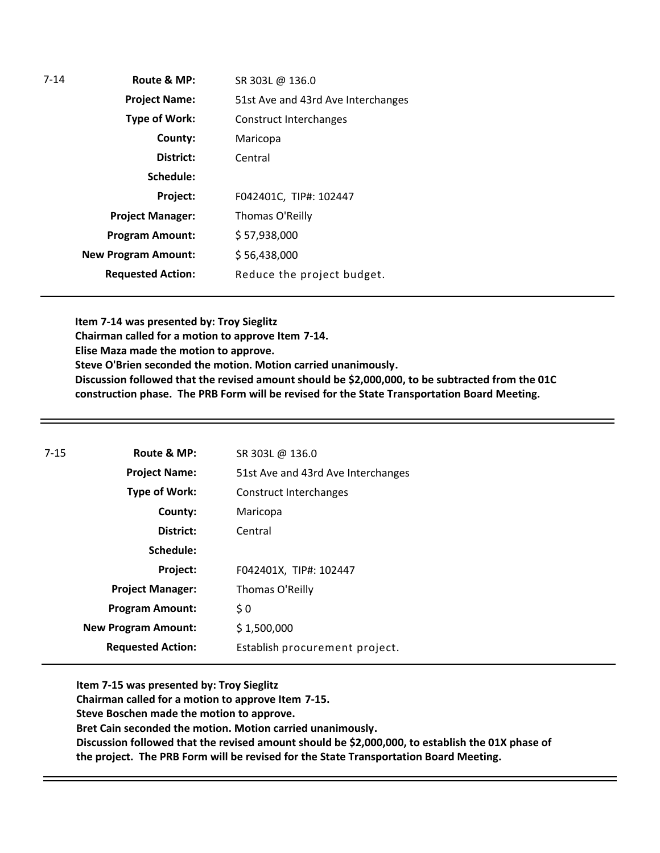| $7 - 14$ | Route & MP:                | SR 303L @ 136.0                    |
|----------|----------------------------|------------------------------------|
|          | <b>Project Name:</b>       | 51st Ave and 43rd Ave Interchanges |
|          | <b>Type of Work:</b>       | Construct Interchanges             |
|          | County:                    | Maricopa                           |
|          | District:                  | Central                            |
|          | Schedule:                  |                                    |
|          | Project:                   | F042401C, TIP#: 102447             |
|          | <b>Project Manager:</b>    | Thomas O'Reilly                    |
|          | <b>Program Amount:</b>     | \$57,938,000                       |
|          | <b>New Program Amount:</b> | \$56,438,000                       |
|          | <b>Requested Action:</b>   | Reduce the project budget.         |

**Item 7-14 was presented by: Troy Sieglitz Chairman called for a motion to approve Item 7-14. Elise Maza made the motion to approve. Steve O'Brien seconded the motion. Motion carried unanimously. Discussion followed that the revised amount should be \$2,000,000, to be subtracted from the 01C construction phase. The PRB Form will be revised for the State Transportation Board Meeting.** 

| Route & MP:                | SR 303L @ 136.0                    |
|----------------------------|------------------------------------|
| <b>Project Name:</b>       | 51st Ave and 43rd Ave Interchanges |
| <b>Type of Work:</b>       | Construct Interchanges             |
| County:                    | Maricopa                           |
| District:                  | Central                            |
| Schedule:                  |                                    |
| Project:                   | F042401X, TIP#: 102447             |
| <b>Project Manager:</b>    | Thomas O'Reilly                    |
| <b>Program Amount:</b>     | \$0                                |
| <b>New Program Amount:</b> | \$1,500,000                        |
| <b>Requested Action:</b>   | Establish procurement project.     |
|                            |                                    |

**Item 7-15 was presented by: Troy Sieglitz Chairman called for a motion to approve Item 7-15. Steve Boschen made the motion to approve. Bret Cain seconded the motion. Motion carried unanimously. Discussion followed that the revised amount should be \$2,000,000, to establish the 01X phase of the project. The PRB Form will be revised for the State Transportation Board Meeting.**